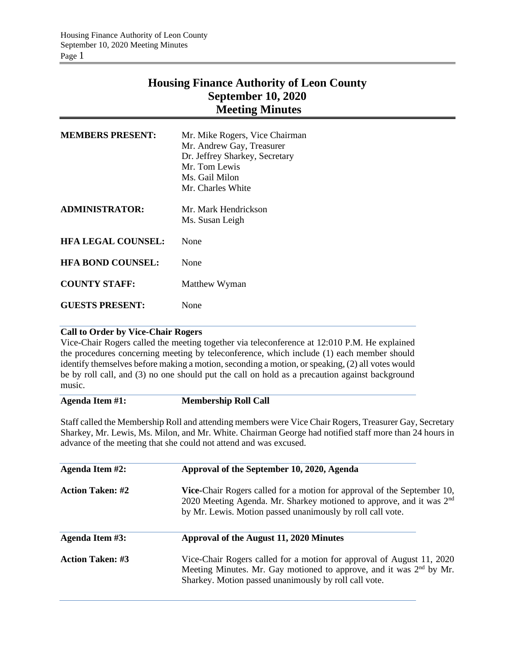## **Housing Finance Authority of Leon County September 10, 2020 Meeting Minutes**

| <b>MEMBERS PRESENT:</b>   | Mr. Mike Rogers, Vice Chairman<br>Mr. Andrew Gay, Treasurer<br>Dr. Jeffrey Sharkey, Secretary<br>Mr. Tom Lewis<br>Ms. Gail Milon<br>Mr. Charles White |
|---------------------------|-------------------------------------------------------------------------------------------------------------------------------------------------------|
| <b>ADMINISTRATOR:</b>     | Mr. Mark Hendrickson<br>Ms. Susan Leigh                                                                                                               |
| <b>HFA LEGAL COUNSEL:</b> | None                                                                                                                                                  |
| <b>HFA BOND COUNSEL:</b>  | None                                                                                                                                                  |
| <b>COUNTY STAFF:</b>      | Matthew Wyman                                                                                                                                         |
| <b>GUESTS PRESENT:</b>    | None                                                                                                                                                  |

### **Call to Order by Vice-Chair Rogers**

Vice-Chair Rogers called the meeting together via teleconference at 12:010 P.M. He explained the procedures concerning meeting by teleconference, which include (1) each member should identify themselves before making a motion, seconding a motion, or speaking, (2) all votes would be by roll call, and (3) no one should put the call on hold as a precaution against background music.

#### **Agenda Item #1: Membership Roll Call**

Staff called the Membership Roll and attending members were Vice Chair Rogers, Treasurer Gay, Secretary Sharkey, Mr. Lewis, Ms. Milon, and Mr. White. Chairman George had notified staff more than 24 hours in advance of the meeting that she could not attend and was excused.

| Agenda Item #2:         | Approval of the September 10, 2020, Agenda                                                                                                                                                                                |  |  |  |
|-------------------------|---------------------------------------------------------------------------------------------------------------------------------------------------------------------------------------------------------------------------|--|--|--|
| <b>Action Taken: #2</b> | Vice-Chair Rogers called for a motion for approval of the September 10,<br>2020 Meeting Agenda. Mr. Sharkey motioned to approve, and it was 2 <sup>nd</sup><br>by Mr. Lewis. Motion passed unanimously by roll call vote. |  |  |  |
| Agenda Item #3:         | Approval of the August 11, 2020 Minutes                                                                                                                                                                                   |  |  |  |
| <b>Action Taken: #3</b> | Vice-Chair Rogers called for a motion for approval of August 11, 2020<br>Meeting Minutes. Mr. Gay motioned to approve, and it was 2 <sup>nd</sup> by Mr.<br>Sharkey. Motion passed unanimously by roll call vote.         |  |  |  |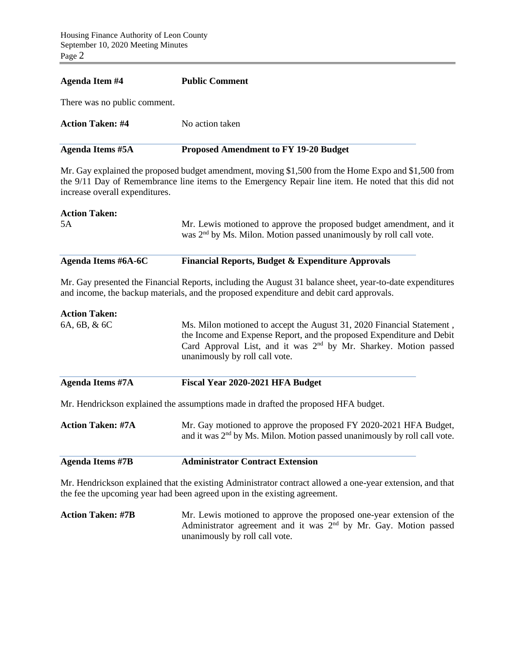# **Agenda Item #4 Public Comment** There was no public comment. **Action Taken: #4** No action taken **Agenda Items #5A Proposed Amendment to FY 19-20 Budget**  Mr. Gay explained the proposed budget amendment, moving \$1,500 from the Home Expo and \$1,500 from the 9/11 Day of Remembrance line items to the Emergency Repair line item. He noted that this did not increase overall expenditures. **Action Taken:**  5A Mr. Lewis motioned to approve the proposed budget amendment, and it was 2<sup>nd</sup> by Ms. Milon. Motion passed unanimously by roll call vote. **Agenda Items #6A-6C Financial Reports, Budget & Expenditure Approvals**  Mr. Gay presented the Financial Reports, including the August 31 balance sheet, year-to-date expenditures and income, the backup materials, and the proposed expenditure and debit card approvals. **Action Taken:**  6A, 6B, & 6C Ms. Milon motioned to accept the August 31, 2020 Financial Statement , the Income and Expense Report, and the proposed Expenditure and Debit

Card Approval List, and it was  $2<sup>nd</sup>$  by Mr. Sharkey. Motion passed unanimously by roll call vote. **Agenda Items #7A Fiscal Year 2020-2021 HFA Budget**  Mr. Hendrickson explained the assumptions made in drafted the proposed HFA budget. Action Taken: #7A Mr. Gay motioned to approve the proposed FY 2020-2021 HFA Budget, and it was 2<sup>nd</sup> by Ms. Milon. Motion passed unanimously by roll call vote.

**Agenda Items #7B Administrator Contract Extension** 

Mr. Hendrickson explained that the existing Administrator contract allowed a one-year extension, and that the fee the upcoming year had been agreed upon in the existing agreement.

**Action Taken: #7B** Mr. Lewis motioned to approve the proposed one-year extension of the Administrator agreement and it was 2<sup>nd</sup> by Mr. Gay. Motion passed unanimously by roll call vote.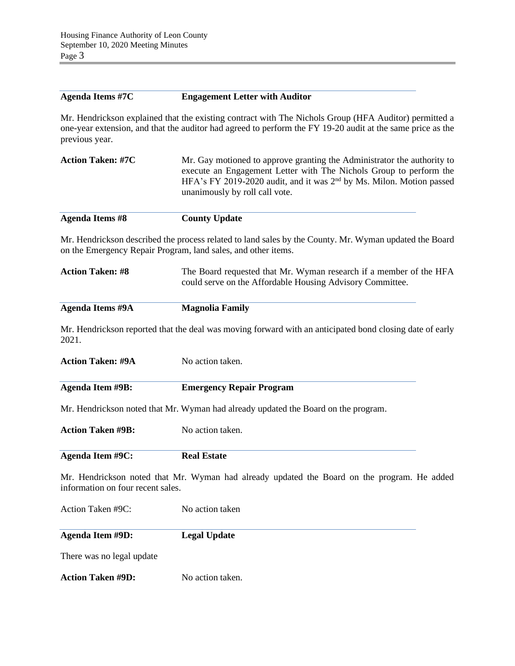#### **Agenda Items #7C Engagement Letter with Auditor**

Mr. Hendrickson explained that the existing contract with The Nichols Group (HFA Auditor) permitted a one-year extension, and that the auditor had agreed to perform the FY 19-20 audit at the same price as the previous year.

| Mr. Gay motioned to approve granting the Administrator the authority to |
|-------------------------------------------------------------------------|
| execute an Engagement Letter with The Nichols Group to perform the      |
| HFA's FY 2019-2020 audit, and it was $2nd$ by Ms. Milon. Motion passed  |
| unanimously by roll call vote.                                          |
|                                                                         |

| Agenda Items #8 | <b>County Update</b> |
|-----------------|----------------------|
|-----------------|----------------------|

Mr. Hendrickson described the process related to land sales by the County. Mr. Wyman updated the Board on the Emergency Repair Program, land sales, and other items.

| <b>Action Taken: #8</b> | The Board requested that Mr. Wyman research if a member of the HFA |
|-------------------------|--------------------------------------------------------------------|
|                         | could serve on the Affordable Housing Advisory Committee.          |

**Agenda Items #9A Magnolia Family**

Mr. Hendrickson reported that the deal was moving forward with an anticipated bond closing date of early 2021.

| <b>Action Taken: #9A</b>          | No action taken.                                                                            |
|-----------------------------------|---------------------------------------------------------------------------------------------|
| Agenda Item #9B:                  | <b>Emergency Repair Program</b>                                                             |
|                                   | Mr. Hendrickson noted that Mr. Wyman had already updated the Board on the program.          |
| <b>Action Taken #9B:</b>          | No action taken.                                                                            |
| Agenda Item #9C:                  | <b>Real Estate</b>                                                                          |
| information on four recent sales. | Mr. Hendrickson noted that Mr. Wyman had already updated the Board on the program. He added |
| Action Taken #9C:                 | No action taken                                                                             |
| Agenda Item #9D:                  | <b>Legal Update</b>                                                                         |
| There was no legal update         |                                                                                             |
|                                   |                                                                                             |

**Action Taken #9D:** No action taken.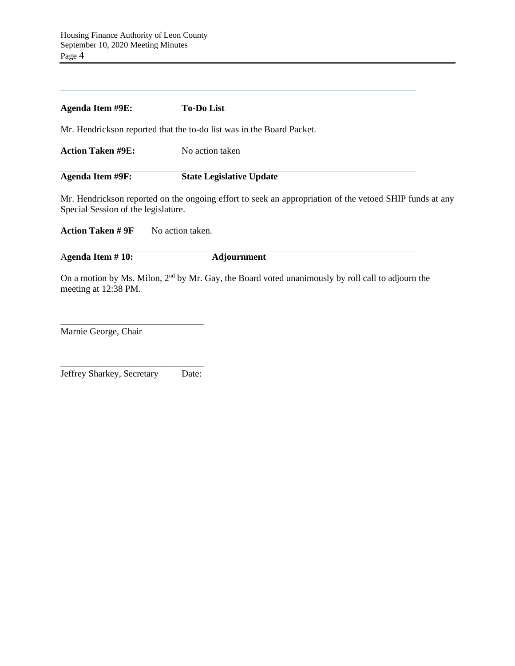| Agenda Item #9E:                    | <b>To-Do List</b>                                                                                       |
|-------------------------------------|---------------------------------------------------------------------------------------------------------|
|                                     | Mr. Hendrickson reported that the to-do list was in the Board Packet.                                   |
| <b>Action Taken #9E:</b>            | No action taken                                                                                         |
| Agenda Item #9F:                    | <b>State Legislative Update</b>                                                                         |
| Special Session of the legislature. | Mr. Hendrickson reported on the ongoing effort to seek an appropriation of the vetoed SHIP funds at any |
| <b>Action Taken # 9F</b>            | No action taken.                                                                                        |

A**genda Item # 10: Adjournment**

On a motion by Ms. Milon, 2<sup>nd</sup> by Mr. Gay, the Board voted unanimously by roll call to adjourn the meeting at 12:38 PM.

Marnie George, Chair

\_\_\_\_\_\_\_\_\_\_\_\_\_\_\_\_\_\_\_\_\_\_\_\_\_\_\_\_\_\_\_ Jeffrey Sharkey, Secretary Date:

\_\_\_\_\_\_\_\_\_\_\_\_\_\_\_\_\_\_\_\_\_\_\_\_\_\_\_\_\_\_\_